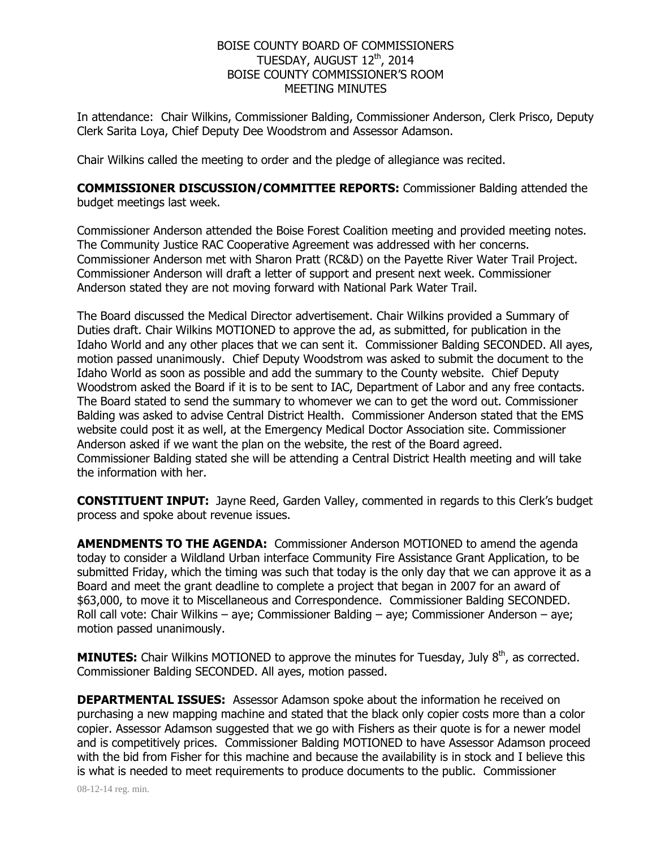## BOISE COUNTY BOARD OF COMMISSIONERS TUESDAY, AUGUST  $12^{\text{th}}$ , 2014 BOISE COUNTY COMMISSIONER'S ROOM MEETING MINUTES

In attendance: Chair Wilkins, Commissioner Balding, Commissioner Anderson, Clerk Prisco, Deputy Clerk Sarita Loya, Chief Deputy Dee Woodstrom and Assessor Adamson.

Chair Wilkins called the meeting to order and the pledge of allegiance was recited.

**COMMISSIONER DISCUSSION/COMMITTEE REPORTS:** Commissioner Balding attended the budget meetings last week.

Commissioner Anderson attended the Boise Forest Coalition meeting and provided meeting notes. The Community Justice RAC Cooperative Agreement was addressed with her concerns. Commissioner Anderson met with Sharon Pratt (RC&D) on the Payette River Water Trail Project. Commissioner Anderson will draft a letter of support and present next week. Commissioner Anderson stated they are not moving forward with National Park Water Trail.

The Board discussed the Medical Director advertisement. Chair Wilkins provided a Summary of Duties draft. Chair Wilkins MOTIONED to approve the ad, as submitted, for publication in the Idaho World and any other places that we can sent it. Commissioner Balding SECONDED. All ayes, motion passed unanimously. Chief Deputy Woodstrom was asked to submit the document to the Idaho World as soon as possible and add the summary to the County website. Chief Deputy Woodstrom asked the Board if it is to be sent to IAC, Department of Labor and any free contacts. The Board stated to send the summary to whomever we can to get the word out. Commissioner Balding was asked to advise Central District Health. Commissioner Anderson stated that the EMS website could post it as well, at the Emergency Medical Doctor Association site. Commissioner Anderson asked if we want the plan on the website, the rest of the Board agreed. Commissioner Balding stated she will be attending a Central District Health meeting and will take the information with her.

**CONSTITUENT INPUT:** Jayne Reed, Garden Valley, commented in regards to this Clerk's budget process and spoke about revenue issues.

**AMENDMENTS TO THE AGENDA:** Commissioner Anderson MOTIONED to amend the agenda today to consider a Wildland Urban interface Community Fire Assistance Grant Application, to be submitted Friday, which the timing was such that today is the only day that we can approve it as a Board and meet the grant deadline to complete a project that began in 2007 for an award of \$63,000, to move it to Miscellaneous and Correspondence. Commissioner Balding SECONDED. Roll call vote: Chair Wilkins – aye; Commissioner Balding – aye; Commissioner Anderson – aye; motion passed unanimously.

**MINUTES:** Chair Wilkins MOTIONED to approve the minutes for Tuesday, July 8<sup>th</sup>, as corrected. Commissioner Balding SECONDED. All ayes, motion passed.

**DEPARTMENTAL ISSUES:** Assessor Adamson spoke about the information he received on purchasing a new mapping machine and stated that the black only copier costs more than a color copier. Assessor Adamson suggested that we go with Fishers as their quote is for a newer model and is competitively prices. Commissioner Balding MOTIONED to have Assessor Adamson proceed with the bid from Fisher for this machine and because the availability is in stock and I believe this is what is needed to meet requirements to produce documents to the public. Commissioner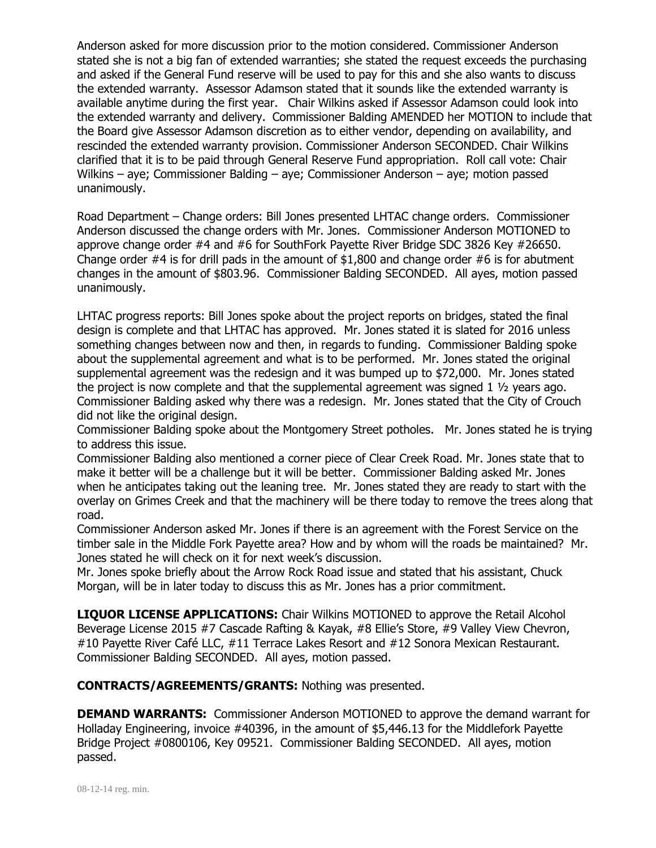Anderson asked for more discussion prior to the motion considered. Commissioner Anderson stated she is not a big fan of extended warranties; she stated the request exceeds the purchasing and asked if the General Fund reserve will be used to pay for this and she also wants to discuss the extended warranty. Assessor Adamson stated that it sounds like the extended warranty is available anytime during the first year. Chair Wilkins asked if Assessor Adamson could look into the extended warranty and delivery. Commissioner Balding AMENDED her MOTION to include that the Board give Assessor Adamson discretion as to either vendor, depending on availability, and rescinded the extended warranty provision. Commissioner Anderson SECONDED. Chair Wilkins clarified that it is to be paid through General Reserve Fund appropriation. Roll call vote: Chair Wilkins – aye; Commissioner Balding – aye; Commissioner Anderson – aye; motion passed unanimously.

Road Department – Change orders: Bill Jones presented LHTAC change orders. Commissioner Anderson discussed the change orders with Mr. Jones. Commissioner Anderson MOTIONED to approve change order #4 and #6 for SouthFork Payette River Bridge SDC 3826 Key #26650. Change order  $#4$  is for drill pads in the amount of \$1,800 and change order  $#6$  is for abutment changes in the amount of \$803.96. Commissioner Balding SECONDED. All ayes, motion passed unanimously.

LHTAC progress reports: Bill Jones spoke about the project reports on bridges, stated the final design is complete and that LHTAC has approved. Mr. Jones stated it is slated for 2016 unless something changes between now and then, in regards to funding. Commissioner Balding spoke about the supplemental agreement and what is to be performed. Mr. Jones stated the original supplemental agreement was the redesign and it was bumped up to \$72,000. Mr. Jones stated the project is now complete and that the supplemental agreement was signed  $1 \frac{1}{2}$  years ago. Commissioner Balding asked why there was a redesign. Mr. Jones stated that the City of Crouch did not like the original design.

Commissioner Balding spoke about the Montgomery Street potholes. Mr. Jones stated he is trying to address this issue.

Commissioner Balding also mentioned a corner piece of Clear Creek Road. Mr. Jones state that to make it better will be a challenge but it will be better. Commissioner Balding asked Mr. Jones when he anticipates taking out the leaning tree. Mr. Jones stated they are ready to start with the overlay on Grimes Creek and that the machinery will be there today to remove the trees along that road.

Commissioner Anderson asked Mr. Jones if there is an agreement with the Forest Service on the timber sale in the Middle Fork Payette area? How and by whom will the roads be maintained? Mr. Jones stated he will check on it for next week's discussion.

Mr. Jones spoke briefly about the Arrow Rock Road issue and stated that his assistant, Chuck Morgan, will be in later today to discuss this as Mr. Jones has a prior commitment.

**LIQUOR LICENSE APPLICATIONS:** Chair Wilkins MOTIONED to approve the Retail Alcohol Beverage License 2015 #7 Cascade Rafting & Kayak, #8 Ellie's Store, #9 Valley View Chevron, #10 Payette River Café LLC, #11 Terrace Lakes Resort and #12 Sonora Mexican Restaurant. Commissioner Balding SECONDED. All ayes, motion passed.

**CONTRACTS/AGREEMENTS/GRANTS:** Nothing was presented.

**DEMAND WARRANTS:** Commissioner Anderson MOTIONED to approve the demand warrant for Holladay Engineering, invoice #40396, in the amount of \$5,446.13 for the Middlefork Payette Bridge Project #0800106, Key 09521. Commissioner Balding SECONDED. All ayes, motion passed.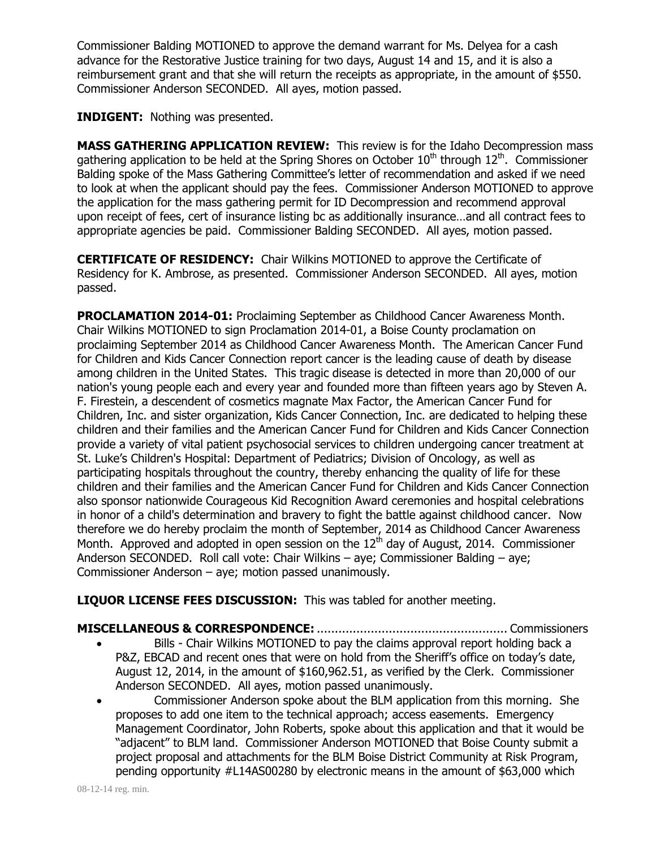Commissioner Balding MOTIONED to approve the demand warrant for Ms. Delyea for a cash advance for the Restorative Justice training for two days, August 14 and 15, and it is also a reimbursement grant and that she will return the receipts as appropriate, in the amount of \$550. Commissioner Anderson SECONDED. All ayes, motion passed.

**INDIGENT:** Nothing was presented.

**MASS GATHERING APPLICATION REVIEW:** This review is for the Idaho Decompression mass gathering application to be held at the Spring Shores on October  $10^{th}$  through  $12^{th}$ . Commissioner Balding spoke of the Mass Gathering Committee's letter of recommendation and asked if we need to look at when the applicant should pay the fees. Commissioner Anderson MOTIONED to approve the application for the mass gathering permit for ID Decompression and recommend approval upon receipt of fees, cert of insurance listing bc as additionally insurance…and all contract fees to appropriate agencies be paid. Commissioner Balding SECONDED. All ayes, motion passed.

**CERTIFICATE OF RESIDENCY:** Chair Wilkins MOTIONED to approve the Certificate of Residency for K. Ambrose, as presented. Commissioner Anderson SECONDED. All ayes, motion passed.

**PROCLAMATION 2014-01:** Proclaiming September as Childhood Cancer Awareness Month. Chair Wilkins MOTIONED to sign Proclamation 2014-01, a Boise County proclamation on proclaiming September 2014 as Childhood Cancer Awareness Month. The American Cancer Fund for Children and Kids Cancer Connection report cancer is the leading cause of death by disease among children in the United States. This tragic disease is detected in more than 20,000 of our nation's young people each and every year and founded more than fifteen years ago by Steven A. F. Firestein, a descendent of cosmetics magnate Max Factor, the American Cancer Fund for Children, Inc. and sister organization, Kids Cancer Connection, Inc. are dedicated to helping these children and their families and the American Cancer Fund for Children and Kids Cancer Connection provide a variety of vital patient psychosocial services to children undergoing cancer treatment at St. Luke's Children's Hospital: Department of Pediatrics; Division of Oncology, as well as participating hospitals throughout the country, thereby enhancing the quality of life for these children and their families and the American Cancer Fund for Children and Kids Cancer Connection also sponsor nationwide Courageous Kid Recognition Award ceremonies and hospital celebrations in honor of a child's determination and bravery to fight the battle against childhood cancer. Now therefore we do hereby proclaim the month of September, 2014 as Childhood Cancer Awareness Month. Approved and adopted in open session on the  $12<sup>th</sup>$  day of August, 2014. Commissioner Anderson SECONDED. Roll call vote: Chair Wilkins – aye; Commissioner Balding – aye; Commissioner Anderson – aye; motion passed unanimously.

**LIQUOR LICENSE FEES DISCUSSION:** This was tabled for another meeting.

## **MISCELLANEOUS & CORRESPONDENCE:**..................................................... Commissioners Bills - Chair Wilkins MOTIONED to pay the claims approval report holding back a P&Z, EBCAD and recent ones that were on hold from the Sheriff's office on today's date, August 12, 2014, in the amount of \$160,962.51, as verified by the Clerk. Commissioner Anderson SECONDED. All ayes, motion passed unanimously.

 Commissioner Anderson spoke about the BLM application from this morning. She proposes to add one item to the technical approach; access easements. Emergency Management Coordinator, John Roberts, spoke about this application and that it would be "adjacent" to BLM land. Commissioner Anderson MOTIONED that Boise County submit a project proposal and attachments for the BLM Boise District Community at Risk Program, pending opportunity #L14AS00280 by electronic means in the amount of \$63,000 which